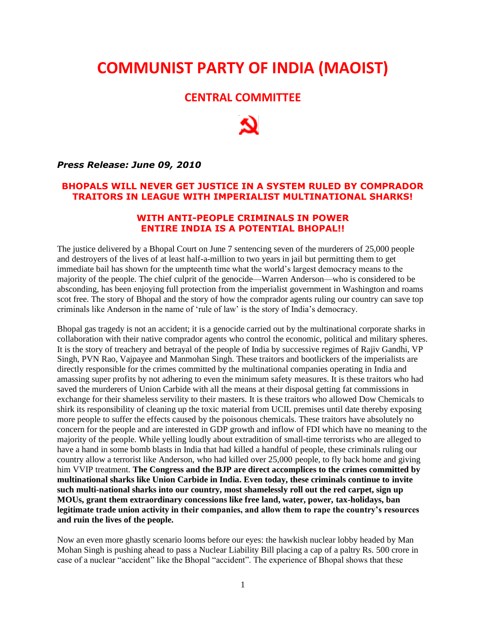## **COMMUNIST PARTY OF INDIA (MAOIST)**

## **CENTRAL COMMITTEE**

*Press Release: June 09, 2010*

## **BHOPALS WILL NEVER GET JUSTICE IN A SYSTEM RULED BY COMPRADOR TRAITORS IN LEAGUE WITH IMPERIALIST MULTINATIONAL SHARKS!**

## **WITH ANTI-PEOPLE CRIMINALS IN POWER ENTIRE INDIA IS A POTENTIAL BHOPAL!!**

The justice delivered by a Bhopal Court on June 7 sentencing seven of the murderers of 25,000 people and destroyers of the lives of at least half-a-million to two years in jail but permitting them to get immediate bail has shown for the umpteenth time what the world"s largest democracy means to the majority of the people. The chief culprit of the genocide—Warren Anderson—who is considered to be absconding, has been enjoying full protection from the imperialist government in Washington and roams scot free. The story of Bhopal and the story of how the comprador agents ruling our country can save top criminals like Anderson in the name of "rule of law" is the story of India"s democracy.

Bhopal gas tragedy is not an accident; it is a genocide carried out by the multinational corporate sharks in collaboration with their native comprador agents who control the economic, political and military spheres. It is the story of treachery and betrayal of the people of India by successive regimes of Rajiv Gandhi, VP Singh, PVN Rao, Vajpayee and Manmohan Singh. These traitors and bootlickers of the imperialists are directly responsible for the crimes committed by the multinational companies operating in India and amassing super profits by not adhering to even the minimum safety measures. It is these traitors who had saved the murderers of Union Carbide with all the means at their disposal getting fat commissions in exchange for their shameless servility to their masters. It is these traitors who allowed Dow Chemicals to shirk its responsibility of cleaning up the toxic material from UCIL premises until date thereby exposing more people to suffer the effects caused by the poisonous chemicals. These traitors have absolutely no concern for the people and are interested in GDP growth and inflow of FDI which have no meaning to the majority of the people. While yelling loudly about extradition of small-time terrorists who are alleged to have a hand in some bomb blasts in India that had killed a handful of people, these criminals ruling our country allow a terrorist like Anderson, who had killed over 25,000 people, to fly back home and giving him VVIP treatment. **The Congress and the BJP are direct accomplices to the crimes committed by multinational sharks like Union Carbide in India. Even today, these criminals continue to invite such multi-national sharks into our country, most shamelessly roll out the red carpet, sign up MOUs, grant them extraordinary concessions like free land, water, power, tax-holidays, ban legitimate trade union activity in their companies, and allow them to rape the country's resources and ruin the lives of the people.**

Now an even more ghastly scenario looms before our eyes: the hawkish nuclear lobby headed by Man Mohan Singh is pushing ahead to pass a Nuclear Liability Bill placing a cap of a paltry Rs. 500 crore in case of a nuclear "accident" like the Bhopal "accident". The experience of Bhopal shows that these